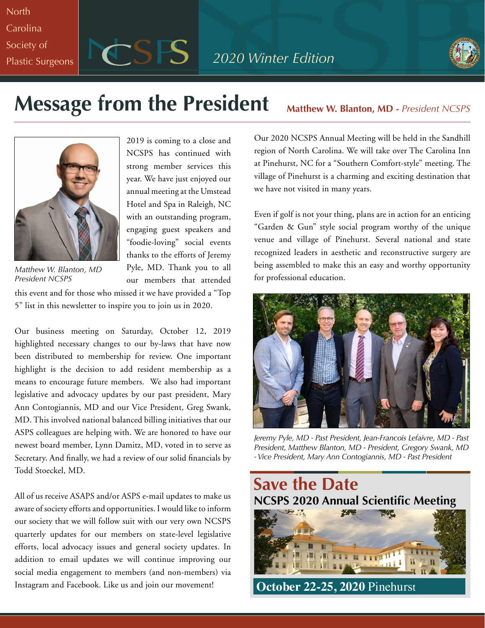**North Carolina** Society of

Plastic Surgeons **PCSS** 2020 Winter Edition



# **Message from the President** Matthew W. Blanton, MD - President NCSPS



2019 is coming to a close and NCSPS has continued with strong member services this year. We have just enjoyed our annual meeting at the Umstead Hotel and Spa in Raleigh, NC with an outstanding program, engaging guest speakers and "foodie-loving" social events thanks to the efforts of Jeremy Pyle, MD. Thank you to all our members that attended

*Matthew W. Blanton, MD President NCSPS*

this event and for those who missed it we have provided a "Top 5" list in this newsletter to inspire you to join us in 2020.

Our business meeting on Saturday, October 12, 2019 highlighted necessary changes to our by-laws that have now been distributed to membership for review. One important highlight is the decision to add resident membership as a means to encourage future members. We also had important legislative and advocacy updates by our past president, Mary Ann Contogiannis, MD and our Vice President, Greg Swank, MD. This involved national balanced billing initiatives that our ASPS colleagues are helping with. We are honored to have our newest board member, Lynn Damitz, MD, voted in to serve as Secretary. And finally, we had a review of our solid financials by Todd Stoeckel, MD.

All of us receive ASAPS and/or ASPS e-mail updates to make us aware of society efforts and opportunities. I would like to inform our society that we will follow suit with our very own NCSPS quarterly updates for our members on state-level legislative efforts, local advocacy issues and general society updates. In addition to email updates we will continue improving our social media engagement to members (and non-members) via Instagram and Facebook. Like us and join our movement!

Our 2020 NCSPS Annual Meeting will be held in the Sandhill region of North Carolina. We will take over The Carolina Inn at Pinehurst, NC for a "Southern Comfort-style" meeting. The village of Pinehurst is a charming and exciting destination that we have not visited in many years.

Even if golf is not your thing, plans are in action for an enticing "Garden & Gun" style social program worthy of the unique venue and village of Pinehurst. Several national and state recognized leaders in aesthetic and reconstructive surgery are being assembled to make this an easy and worthy opportunity for professional education.



*Jeremy Pyle, MD - Past President, Jean-Francois Lefaivre, MD - Past President, Matthew Blanton, MD - President, Gregory Swank, MD - Vice President, Mary Ann Contogiannis, MD - Past President*

**Save the Date NCSPS 2020 Annual Scientific Meeting PERSONAL PROPERTY AND INCOME. INI INI K October 22-25, 2020** Pinehurst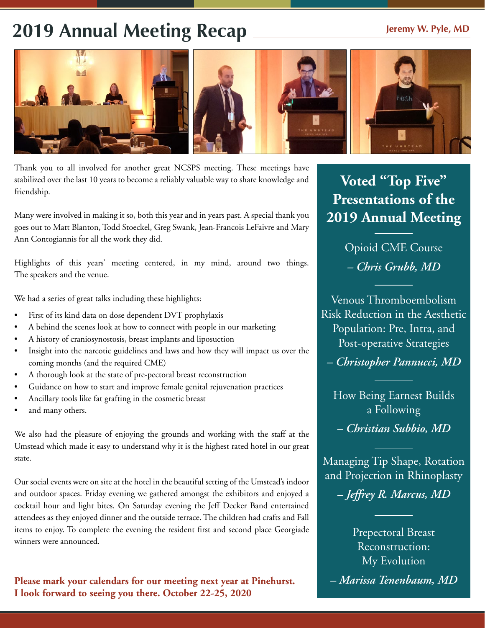# 2019 Annual Meeting Recap **Jeremy W. Pyle, MD**



Thank you to all involved for another great NCSPS meeting. These meetings have stabilized over the last 10 years to become a reliably valuable way to share knowledge and friendship.

Many were involved in making it so, both this year and in years past. A special thank you goes out to Matt Blanton, Todd Stoeckel, Greg Swank, Jean-Francois LeFaivre and Mary Ann Contogiannis for all the work they did.

Highlights of this years' meeting centered, in my mind, around two things. The speakers and the venue.

We had a series of great talks including these highlights:

- First of its kind data on dose dependent DVT prophylaxis
- A behind the scenes look at how to connect with people in our marketing
- A history of craniosynostosis, breast implants and liposuction
- Insight into the narcotic guidelines and laws and how they will impact us over the coming months (and the required CME)
- A thorough look at the state of pre-pectoral breast reconstruction
- Guidance on how to start and improve female genital rejuvenation practices
- Ancillary tools like fat grafting in the cosmetic breast
- and many others.

We also had the pleasure of enjoying the grounds and working with the staff at the Umstead which made it easy to understand why it is the highest rated hotel in our great state.

Our social events were on site at the hotel in the beautiful setting of the Umstead's indoor and outdoor spaces. Friday evening we gathered amongst the exhibitors and enjoyed a cocktail hour and light bites. On Saturday evening the Jeff Decker Band entertained attendees as they enjoyed dinner and the outside terrace. The children had crafts and Fall items to enjoy. To complete the evening the resident first and second place Georgiade winners were announced.

**Please mark your calendars for our meeting next year at Pinehurst. I look forward to seeing you there. October 22-25, 2020**

# **Voted "Top Five" Presentations of the 2019 Annual Meeting**

Opioid CME Course *– Chris Grubb, MD*

Venous Thromboembolism Risk Reduction in the Aesthetic Population: Pre, Intra, and Post-operative Strategies

*– Christopher Pannucci, MD*

How Being Earnest Builds a Following

*– Christian Subbio, MD* 

Managing Tip Shape, Rotation and Projection in Rhinoplasty

*– Jeffrey R. Marcus, MD* 

Prepectoral Breast Reconstruction: My Evolution

*– Marissa Tenenbaum, MD*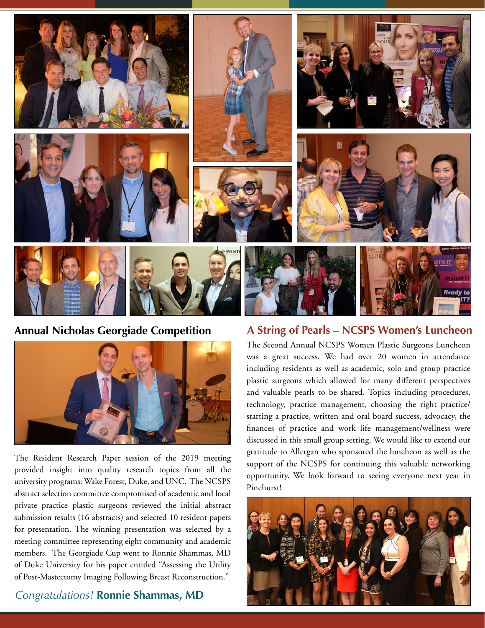

**Annual Nicholas Georgiade Competition**



The Resident Research Paper session of the 2019 meeting provided insight into quality research topics from all the university programs: Wake Forest, Duke, and UNC. The NCSPS abstract selection committee compromised of academic and local private practice plastic surgeons reviewed the initial abstract submission results (16 abstracts) and selected 10 resident papers for presentation. The winning presentation was selected by a meeting committee representing eight community and academic members. The Georgiade Cup went to Ronnie Shammas, MD of Duke University for his paper entitled "Assessing the Utility of Post-Mastectomy Imaging Following Breast Reconstruction."

#### *Congratulations!* **Ronnie Shammas, MD**

### **A String of Pearls – NCSPS Women's Luncheon**

The Second Annual NCSPS Women Plastic Surgeons Luncheon was a great success. We had over 20 women in attendance including residents as well as academic, solo and group practice plastic surgeons which allowed for many different perspectives and valuable pearls to be shared. Topics including procedures, technology, practice management, choosing the right practice/ starting a practice, written and oral board success, advocacy, the finances of practice and work life management/wellness were discussed in this small group setting. We would like to extend our gratitude to Allergan who sponsored the luncheon as well as the support of the NCSPS for continuing this valuable networking opportunity. We look forward to seeing everyone next year in Pinehurst!